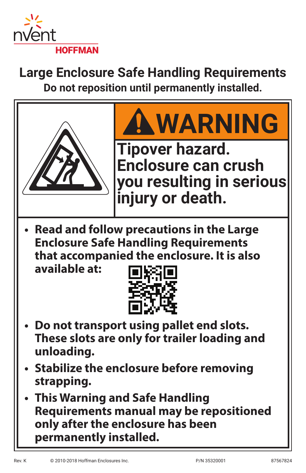

# **Large Enclosure Safe Handling Requirements Do not reposition until permanently installed.**

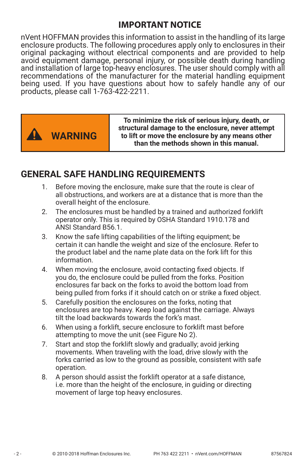### **IMPORTANT NOTICE**

nVent HOFFMAN provides this information to assist in the handling of its large enclosure products. The following procedures apply only to enclosures in their original packaging without electrical components and are provided to help avoid equipment damage, personal injury, or possible death during handling and installation of large top-heavy enclosures. The user should comply with all recommendations of the manufacturer for the material handling equipment being used. If you have questions about how to safely handle any of our products, please call 1-763-422-2211.



**To minimize the risk of serious injury, death, or structural damage to the enclosure, never attempt to lift or move the enclosure by any means other than the methods shown in this manual.**

### **GENERAL SAFE HANDLING REQUIREMENTS**

- 1. Before moving the enclosure, make sure that the route is clear of all obstructions, and workers are at a distance that is more than the overall height of the enclosure.
- 2. The enclosures must be handled by a trained and authorized forklift operator only. This is required by OSHA Standard 1910.178 and ANSI Standard B56.1.
- 3. Know the safe lifting capabilities of the lifting equipment; be certain it can handle the weight and size of the enclosure. Refer to the product label and the name plate data on the fork lift for this information.
- 4. When moving the enclosure, avoid contacting fixed objects. If you do, the enclosure could be pulled from the forks. Position enclosures far back on the forks to avoid the bottom load from being pulled from forks if it should catch on or strike a fixed object.
- 5. Carefully position the enclosures on the forks, noting that enclosures are top heavy. Keep load against the carriage. Always tilt the load backwards towards the fork's mast.
- 6. When using a forklift, secure enclosure to forklift mast before attempting to move the unit (see Figure No 2).
- 7. Start and stop the forklift slowly and gradually; avoid jerking movements. When traveling with the load, drive slowly with the forks carried as low to the ground as possible, consistent with safe operation.
- 8. A person should assist the forklift operator at a safe distance, i.e. more than the height of the enclosure, in guiding or directing movement of large top heavy enclosures.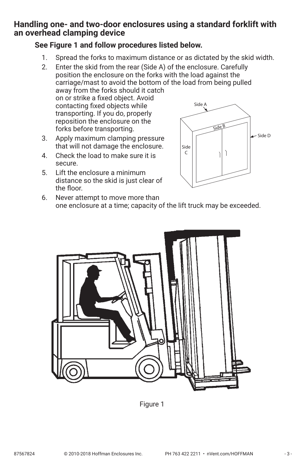### <span id="page-2-1"></span>**Handling one- and two-door enclosures using a standard forklift with an overhead clamping device**

### **See [Figure 1](#page-2-0) and follow procedures listed below.**

1. Spread the forks to maximum distance or as dictated by the skid width.

2. Enter the skid from the rear (Side A) of the enclosure. Carefully position the enclosure on the forks with the load against the carriage/mast to avoid the bottom of the load from being pulled away from the forks should it catch on or strike a fixed object. Avoid contacting fixed objects while transporting. If you do, properly reposition the enclosure on the forks before transporting. Side A Side B

- 3. Apply maximum clamping pressure that will not damage the enclosure.
- 4. Check the load to make sure it is secure.
- 5. Lift the enclosure a minimum distance so the skid is just clear of the floor.



6. Never attempt to move more than one enclosure at a time; capacity of the lift truck may be exceeded.

<span id="page-2-0"></span>

Figure 1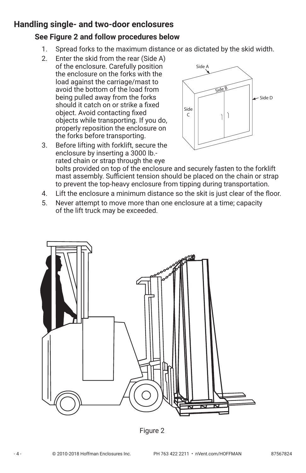### **Handling single- and two-door enclosures**

### **See [Figure 2](#page-3-0) and follow procedures below**

- 1. Spread forks to the maximum distance or as dictated by the skid width.
- 2. Enter the skid from the rear (Side A) of the enclosure. Carefully position the enclosure on the forks with the load against the carriage/mast to avoid the bottom of the load from being pulled away from the forks should it catch on or strike a fixed object. Avoid contacting fixed objects while transporting. If you do, properly reposition the enclosure on the forks before transporting.





bolts provided on top of the enclosure and securely fasten to the forklift mast assembly. Sufficient tension should be placed on the chain or strap to prevent the top-heavy enclosure from tipping during transportation.

- 4. Lift the enclosure a minimum distance so the skit is just clear of the floor.
- 5. Never attempt to move more than one enclosure at a time; capacity of the lift truck may be exceeded.



<span id="page-3-0"></span>Figure 2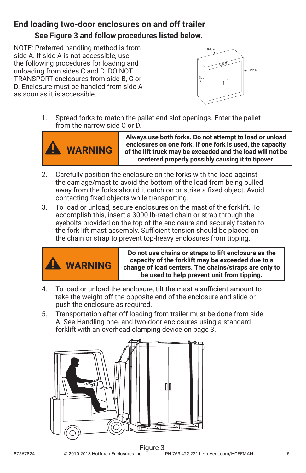# **End loading two-door enclosures on and off trailer See [Figure 3](#page-4-0) and follow procedures listed below.**

NOTE: Preferred handling method is from side A. If side A is not accessible, use the following procedures for loading and unloading from sides C and D. DO NOT TRANSPORT enclosures from side B, C or D. Enclosure must be handled from side A as soon as it is accessible.



1. Spread forks to match the pallet end slot openings. Enter the pallet from the narrow side C or D.



**Always use both forks. Do not attempt to load or unload enclosures on one fork. If one fork is used, the capacity of the lift truck may be exceeded and the load will not be centered properly possibly causing it to tipover.**

- 2. Carefully position the enclosure on the forks with the load against the carriage/mast to avoid the bottom of the load from being pulled away from the forks should it catch on or strike a fixed object. Avoid contacting fixed objects while transporting.
- 3. To load or unload, secure enclosures on the mast of the forklift. To accomplish this, insert a 3000 lb-rated chain or strap through the eyebolts provided on the top of the enclosure and securely fasten to the fork lift mast assembly. Sufficient tension should be placed on the chain or strap to prevent top-heavy enclosures from tipping.



<span id="page-4-0"></span>**Do not use chains or straps to lift enclosure as the capacity of the forklift may be exceeded due to a change of load centers. The chains/straps are only to be used to help prevent unit from tipping.**

- 4. To load or unload the enclosure, tilt the mast a sufficient amount to take the weight off the opposite end of the enclosure and slide or push the enclosure as required.
- 5. Transportation after off loading from trailer must be done from side A. See [Handling one- and two-door enclosures using a standard](#page-2-1)  [forklift with an overhead clamping device on page 3](#page-2-1).

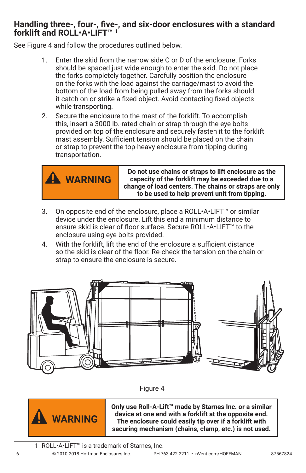### **Handling three-, four-, five-, and six-door enclosures with a standard forklift and ROLL•A•LIFT™ 1**

See [Figure 4](#page-5-0) and follow the procedures outlined below.

- 1. Enter the skid from the narrow side C or D of the enclosure. Forks should be spaced just wide enough to enter the skid. Do not place the forks completely together. Carefully position the enclosure on the forks with the load against the carriage/mast to avoid the bottom of the load from being pulled away from the forks should it catch on or strike a fixed object. Avoid contacting fixed objects while transporting.
- 2. Secure the enclosure to the mast of the forklift. To accomplish this, insert a 3000 lb.-rated chain or strap through the eye bolts provided on top of the enclosure and securely fasten it to the forklift mast assembly. Sufficient tension should be placed on the chain or strap to prevent the top-heavy enclosure from tipping during transportation.



**Do not use chains or straps to lift enclosure as the capacity of the forklift may be exceeded due to a change of load centers. The chains or straps are only to be used to help prevent unit from tipping.**

- 3. On opposite end of the enclosure, place a ROLL•A•LIFT™ or similar device under the enclosure. Lift this end a minimum distance to ensure skid is clear of floor surface. Secure ROLL•A•LIFT™ to the enclosure using eye bolts provided.
- 4. With the forklift, lift the end of the enclosure a sufficient distance so the skid is clear of the floor. Re-check the tension on the chain or strap to ensure the enclosure is secure.



<span id="page-5-0"></span>



**Only use Roll-A-Lift™ made by Starnes Inc. or a similar device at one end with a forklift at the opposite end. The enclosure could easily tip over if a forklift with securing mechanism (chains, clamp, etc.) is not used.**

1 ROLL•A•LIFT™ is a trademark of Starnes, Inc.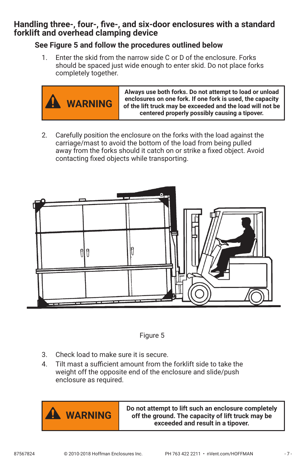### **Handling three-, four-, five-, and six-door enclosures with a standard forklift and overhead clamping device**

#### **See [Figure 5](#page-6-0) and follow the procedures outlined below**

1. Enter the skid from the narrow side C or D of the enclosure. Forks should be spaced just wide enough to enter skid. Do not place forks completely together.



2. Carefully position the enclosure on the forks with the load against the carriage/mast to avoid the bottom of the load from being pulled away from the forks should it catch on or strike a fixed object. Avoid contacting fixed objects while transporting.



<span id="page-6-0"></span>

- 3. Check load to make sure it is secure.
- 4. Tilt mast a sufficient amount from the forklift side to take the weight off the opposite end of the enclosure and slide/push enclosure as required.



**WARNING Do not attempt to lift such an enclosure completely off the ground. The capacity of lift truck may be exceeded and result in a tipover.**